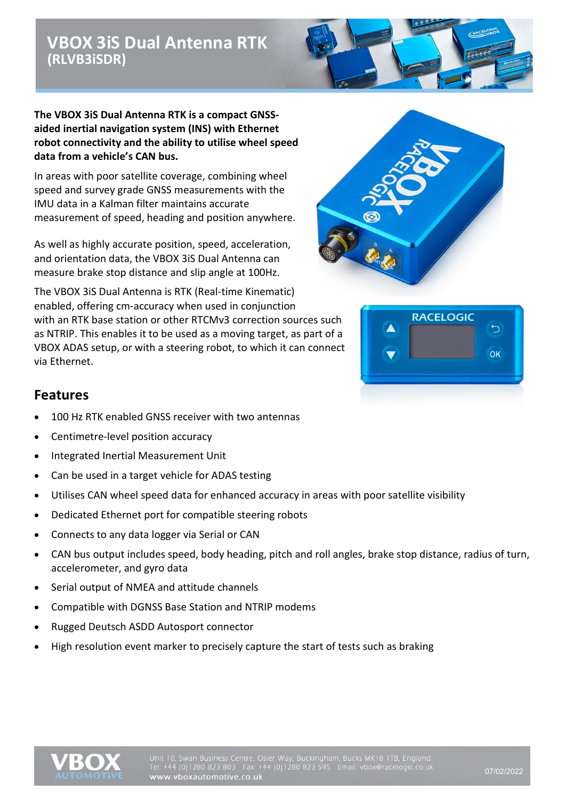# **VBOX 3iS Dual Antenna RTK (RLVB3iSDR)**



**The VBOX 3iS Dual Antenna RTK is a compact GNSSaided inertial navigation system (INS) with Ethernet robot connectivity and the ability to utilise wheel speed data from a vehicle's CAN bus.**

In areas with poor satellite coverage, combining wheel speed and survey grade GNSS measurements with the IMU data in a Kalman filter maintains accurate measurement of speed, heading and position anywhere.

As well as highly accurate position, speed, acceleration, and orientation data, the VBOX 3iS Dual Antenna can measure brake stop distance and slip angle at 100Hz.



The VBOX 3iS Dual Antenna is RTK (Real-time Kinematic) enabled, offering cm-accuracy when used in conjunction with an RTK base station or other RTCMv3 correction sources such as NTRIP. This enables it to be used as a moving target, as part of a VBOX ADAS setup, or with a steering robot, to which it can connect via Ethernet.



#### **Features**

- 100 Hz RTK enabled GNSS receiver with two antennas
- Centimetre-level position accuracy
- Integrated Inertial Measurement Unit
- Can be used in a target vehicle for ADAS testing
- Utilises CAN wheel speed data for enhanced accuracy in areas with poor satellite visibility
- Dedicated Ethernet port for compatible steering robots
- Connects to any data logger via Serial or CAN
- CAN bus output includes speed, body heading, pitch and roll angles, brake stop distance, radius of turn, accelerometer, and gyro data
- Serial output of NMEA and attitude channels
- Compatible with DGNSS Base Station and NTRIP modems
- Rugged Deutsch ASDD Autosport connector
- High resolution event marker to precisely capture the start of tests such as braking

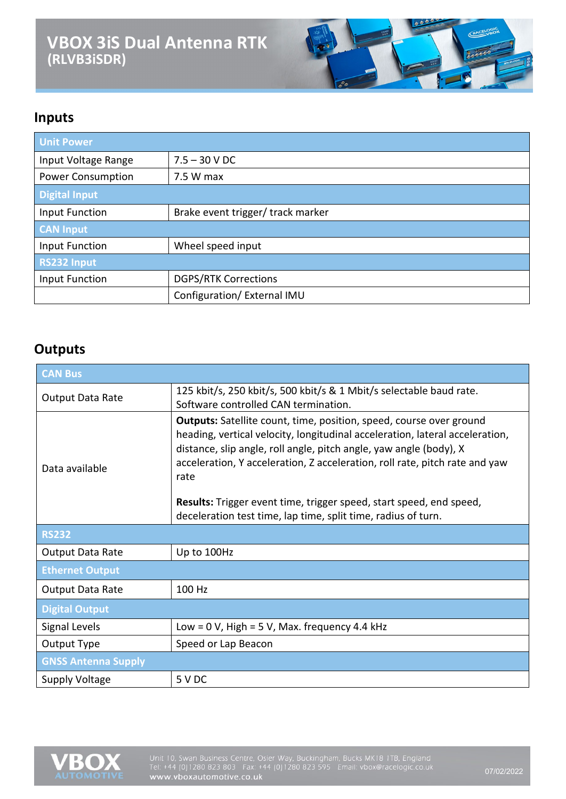# **VBOX 3iS Dual Antenna RTK (RLVB3iSDR)**



# **Inputs**

| <b>Unit Power</b>        |                                   |
|--------------------------|-----------------------------------|
| Input Voltage Range      | $7.5 - 30 V$ DC                   |
| <b>Power Consumption</b> | 7.5 W max                         |
| <b>Digital Input</b>     |                                   |
| Input Function           | Brake event trigger/ track marker |
| <b>CAN Input</b>         |                                   |
| Input Function           | Wheel speed input                 |
| <b>RS232 Input</b>       |                                   |
| Input Function           | <b>DGPS/RTK Corrections</b>       |
|                          | Configuration/ External IMU       |

#### **Outputs**

| <b>CAN Bus</b>             |                                                                                                                                                                                                                                                                                                                         |
|----------------------------|-------------------------------------------------------------------------------------------------------------------------------------------------------------------------------------------------------------------------------------------------------------------------------------------------------------------------|
| Output Data Rate           | 125 kbit/s, 250 kbit/s, 500 kbit/s & 1 Mbit/s selectable baud rate.<br>Software controlled CAN termination.                                                                                                                                                                                                             |
| Data available             | <b>Outputs:</b> Satellite count, time, position, speed, course over ground<br>heading, vertical velocity, longitudinal acceleration, lateral acceleration,<br>distance, slip angle, roll angle, pitch angle, yaw angle (body), X<br>acceleration, Y acceleration, Z acceleration, roll rate, pitch rate and yaw<br>rate |
|                            | Results: Trigger event time, trigger speed, start speed, end speed,                                                                                                                                                                                                                                                     |
|                            | deceleration test time, lap time, split time, radius of turn.                                                                                                                                                                                                                                                           |
| <b>RS232</b>               |                                                                                                                                                                                                                                                                                                                         |
| Output Data Rate           | Up to 100Hz                                                                                                                                                                                                                                                                                                             |
| <b>Ethernet Output</b>     |                                                                                                                                                                                                                                                                                                                         |
| <b>Output Data Rate</b>    | 100 Hz                                                                                                                                                                                                                                                                                                                  |
| <b>Digital Output</b>      |                                                                                                                                                                                                                                                                                                                         |
| Signal Levels              | Low = $0$ V, High = $5$ V, Max. frequency 4.4 kHz                                                                                                                                                                                                                                                                       |
| Output Type                | Speed or Lap Beacon                                                                                                                                                                                                                                                                                                     |
| <b>GNSS Antenna Supply</b> |                                                                                                                                                                                                                                                                                                                         |
| <b>Supply Voltage</b>      | 5 V DC                                                                                                                                                                                                                                                                                                                  |

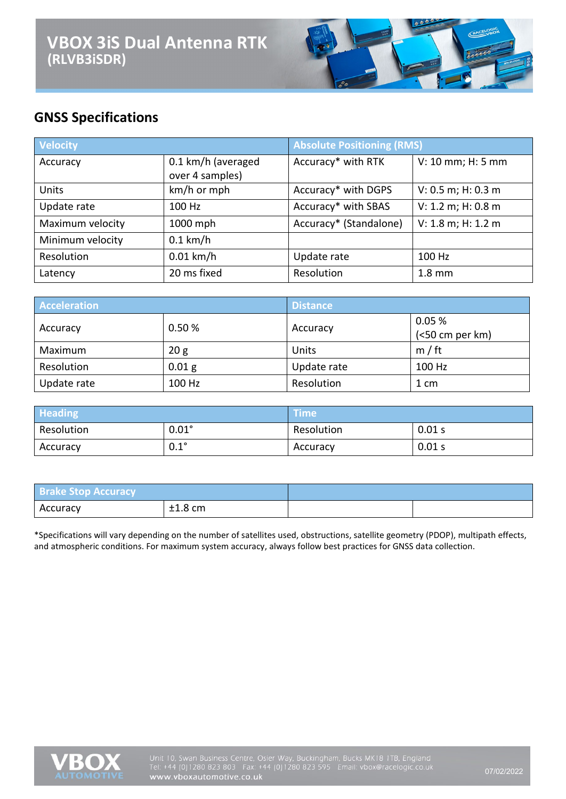

# **GNSS Specifications**

| <b>Velocity</b>  |                                       | <b>Absolute Positioning (RMS)</b> |                    |
|------------------|---------------------------------------|-----------------------------------|--------------------|
| Accuracy         | 0.1 km/h (averaged<br>over 4 samples) | Accuracy* with RTK                | V: 10 mm; H: 5 mm  |
| Units            | km/h or mph                           | Accuracy* with DGPS               | V: 0.5 m; H: 0.3 m |
| Update rate      | 100 Hz                                | Accuracy* with SBAS               | V: 1.2 m; H: 0.8 m |
| Maximum velocity | 1000 mph                              | Accuracy* (Standalone)            | V: 1.8 m; H: 1.2 m |
| Minimum velocity | $0.1$ km/h                            |                                   |                    |
| Resolution       | $0.01$ km/h                           | Update rate                       | 100 Hz             |
| Latency          | 20 ms fixed                           | Resolution                        | $1.8 \text{ mm}$   |

| <b>Acceleration</b> |          | <b>Distance</b> |                 |
|---------------------|----------|-----------------|-----------------|
| Accuracy            | 0.50%    | Accuracy        | 0.05%           |
|                     |          |                 | (<50 cm per km) |
| Maximum             | 20 g     | Units           | m / ft          |
| Resolution          | $0.01$ g | Update rate     | 100 Hz          |
| Update rate         | 100 Hz   | Resolution      | 1 cm            |

| <b>Heading</b> |              | <b>Time</b> ' |        |
|----------------|--------------|---------------|--------|
| Resolution     | $0.01^\circ$ | Resolution    | 0.01 s |
| Accuracy       | $0.1^\circ$  | Accuracy      | 0.01 s |

| <b>Brake Stop Accuracy</b> |           |  |
|----------------------------|-----------|--|
| Accuracy                   | $±1.8$ cm |  |

\*Specifications will vary depending on the number of satellites used, obstructions, satellite geometry (PDOP), multipath effects, and atmospheric conditions. For maximum system accuracy, always follow best practices for GNSS data collection.

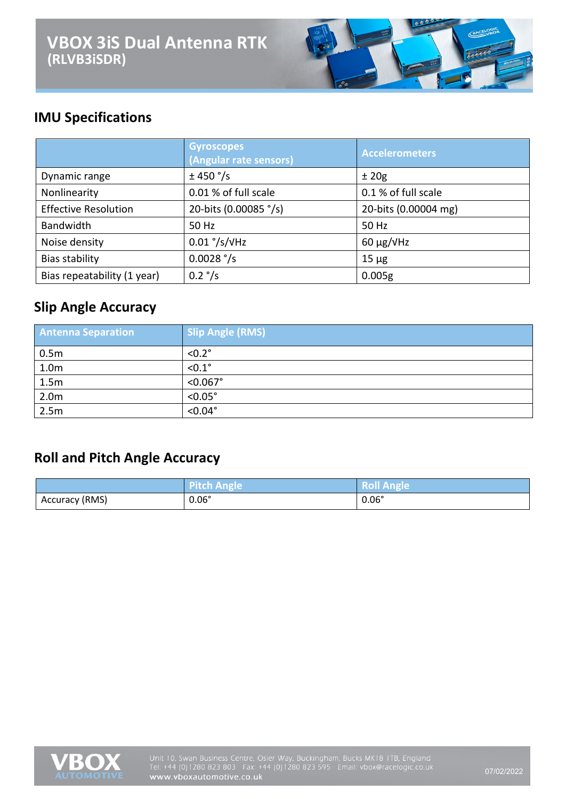

### **IMU Specifications**

|                             | <b>Gyroscopes</b><br>(Angular rate sensors) | <b>Accelerometers</b> |
|-----------------------------|---------------------------------------------|-----------------------|
| Dynamic range               | ± 450 °/s                                   | ±20g                  |
| Nonlinearity                | 0.01 % of full scale                        | 0.1 % of full scale   |
| <b>Effective Resolution</b> | 20-bits (0.00085 °/s)                       | 20-bits (0.00004 mg)  |
| Bandwidth                   | 50 Hz                                       | 50 Hz                 |
| Noise density               | $0.01$ °/s/ $V$ Hz                          | $60 \mu g/V$ Hz       |
| Bias stability              | $0.0028$ °/s                                | $15 \mu g$            |
| Bias repeatability (1 year) | $0.2 \degree/s$                             | 0.005g                |

#### **Slip Angle Accuracy**

| <b>Antenna Separation</b> | <b>Slip Angle (RMS)</b> |
|---------------------------|-------------------------|
| 0.5 <sub>m</sub>          | $< 0.2$ °               |
| 1.0 <sub>m</sub>          | $< 0.1$ °               |
| 1.5m                      | $< 0.067$ °             |
| 2.0 <sub>m</sub>          | $< 0.05$ °              |
| 2.5m                      | $< 0.04$ °              |

# **Roll and Pitch Angle Accuracy**

|                | Pitch Angle  | <b>Roll Angle</b> |
|----------------|--------------|-------------------|
| Accuracy (RMS) | $0.06^\circ$ | $0.06^\circ$      |